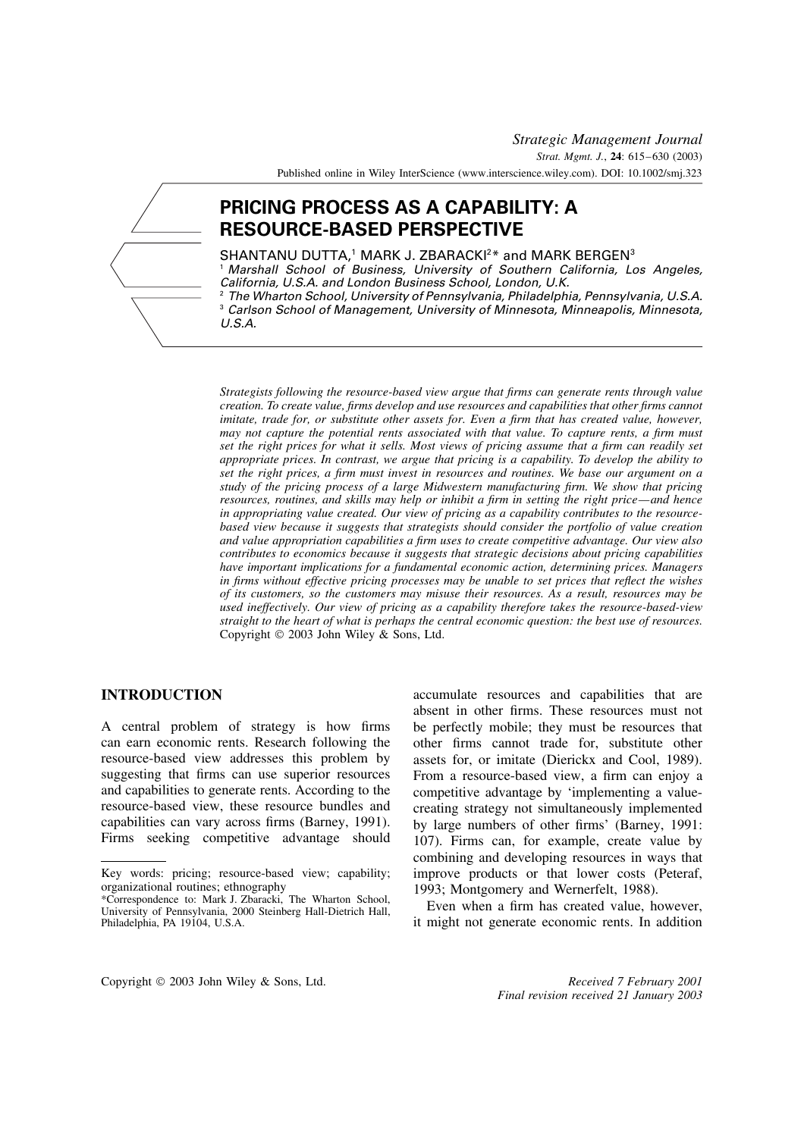

# **PRICING PROCESS AS A CAPABILITY: A RESOURCE-BASED PERSPECTIVE**

SHANTANU DUTTA,<sup>1</sup> MARK J. ZBARACKI<sup>2\*</sup> and MARK BERGEN<sup>3</sup>

<sup>1</sup> Marshall School of Business, University of Southern California, Los Angeles, California, U.S.A. and London Business School, London, U.K.

<sup>2</sup> The Wharton School, University of Pennsylvania, Philadelphia, Pennsylvania, U.S.A.<br>3 Certeen School of Managament, University of Minnesota, Minnesonia, Minnesota. Carlson School of Management, University of Minnesota, Minneapolis, Minnesota, U.S.A.

*Strategists following the resource-based view argue that firms can generate rents through value creation. To create value, firms develop and use resources and capabilities that other firms cannot imitate, trade for, or substitute other assets for. Even a firm that has created value, however, may not capture the potential rents associated with that value. To capture rents, a firm must set the right prices for what it sells. Most views of pricing assume that a firm can readily set appropriate prices. In contrast, we argue that pricing is a capability. To develop the ability to set the right prices, a firm must invest in resources and routines. We base our argument on a study of the pricing process of a large Midwestern manufacturing firm. We show that pricing resources, routines, and skills may help or inhibit a firm in setting the right price—and hence in appropriating value created. Our view of pricing as a capability contributes to the resourcebased view because it suggests that strategists should consider the portfolio of value creation and value appropriation capabilities a firm uses to create competitive advantage. Our view also contributes to economics because it suggests that strategic decisions about pricing capabilities have important implications for a fundamental economic action, determining prices. Managers in firms without effective pricing processes may be unable to set prices that reflect the wishes of its customers, so the customers may misuse their resources. As a result, resources may be used ineffectively. Our view of pricing as a capability therefore takes the resource-based-view straight to the heart of what is perhaps the central economic question: the best use of resources.* Copyright  $© 2003$  John Wiley & Sons, Ltd.

# **INTRODUCTION**

A central problem of strategy is how firms can earn economic rents. Research following the resource-based view addresses this problem by suggesting that firms can use superior resources and capabilities to generate rents. According to the resource-based view, these resource bundles and capabilities can vary across firms (Barney, 1991). Firms seeking competitive advantage should accumulate resources and capabilities that are absent in other firms. These resources must not be perfectly mobile; they must be resources that other firms cannot trade for, substitute other assets for, or imitate (Dierickx and Cool, 1989). From a resource-based view, a firm can enjoy a competitive advantage by 'implementing a valuecreating strategy not simultaneously implemented by large numbers of other firms' (Barney, 1991: 107). Firms can, for example, create value by combining and developing resources in ways that improve products or that lower costs (Peteraf, 1993; Montgomery and Wernerfelt, 1988).

Even when a firm has created value, however, it might not generate economic rents. In addition

Copyright 2003 John Wiley & Sons, Ltd. *Received 7 February 2001*

*Final revision received 21 January 2003*

Key words: pricing; resource-based view; capability; organizational routines; ethnography

<sup>\*</sup>Correspondence to: Mark J. Zbaracki, The Wharton School, University of Pennsylvania, 2000 Steinberg Hall-Dietrich Hall, Philadelphia, PA 19104, U.S.A.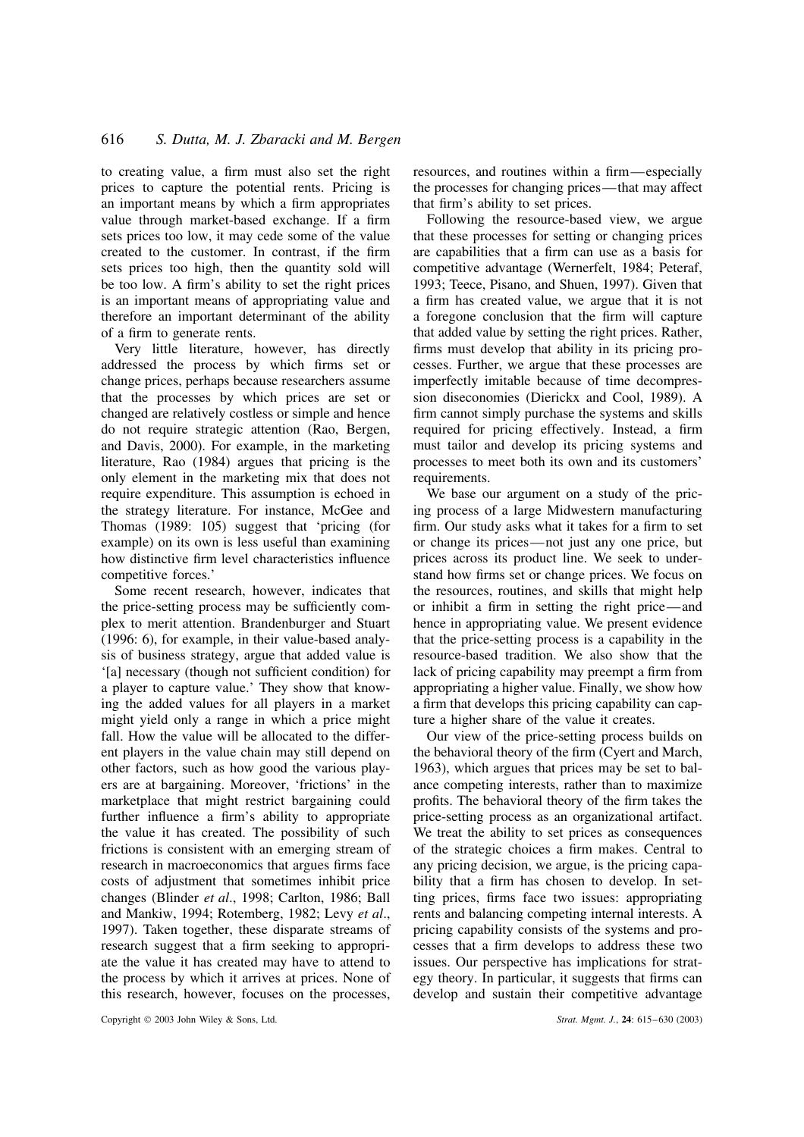to creating value, a firm must also set the right prices to capture the potential rents. Pricing is an important means by which a firm appropriates value through market-based exchange. If a firm sets prices too low, it may cede some of the value created to the customer. In contrast, if the firm sets prices too high, then the quantity sold will be too low. A firm's ability to set the right prices is an important means of appropriating value and therefore an important determinant of the ability of a firm to generate rents.

Very little literature, however, has directly addressed the process by which firms set or change prices, perhaps because researchers assume that the processes by which prices are set or changed are relatively costless or simple and hence do not require strategic attention (Rao, Bergen, and Davis, 2000). For example, in the marketing literature, Rao (1984) argues that pricing is the only element in the marketing mix that does not require expenditure. This assumption is echoed in the strategy literature. For instance, McGee and Thomas (1989: 105) suggest that 'pricing (for example) on its own is less useful than examining how distinctive firm level characteristics influence competitive forces.'

Some recent research, however, indicates that the price-setting process may be sufficiently complex to merit attention. Brandenburger and Stuart (1996: 6), for example, in their value-based analysis of business strategy, argue that added value is '[a] necessary (though not sufficient condition) for a player to capture value.' They show that knowing the added values for all players in a market might yield only a range in which a price might fall. How the value will be allocated to the different players in the value chain may still depend on other factors, such as how good the various players are at bargaining. Moreover, 'frictions' in the marketplace that might restrict bargaining could further influence a firm's ability to appropriate the value it has created. The possibility of such frictions is consistent with an emerging stream of research in macroeconomics that argues firms face costs of adjustment that sometimes inhibit price changes (Blinder *et al*., 1998; Carlton, 1986; Ball and Mankiw, 1994; Rotemberg, 1982; Levy *et al*., 1997). Taken together, these disparate streams of research suggest that a firm seeking to appropriate the value it has created may have to attend to the process by which it arrives at prices. None of this research, however, focuses on the processes, resources, and routines within a firm—especially the processes for changing prices—that may affect that firm's ability to set prices.

Following the resource-based view, we argue that these processes for setting or changing prices are capabilities that a firm can use as a basis for competitive advantage (Wernerfelt, 1984; Peteraf, 1993; Teece, Pisano, and Shuen, 1997). Given that a firm has created value, we argue that it is not a foregone conclusion that the firm will capture that added value by setting the right prices. Rather, firms must develop that ability in its pricing processes. Further, we argue that these processes are imperfectly imitable because of time decompression diseconomies (Dierickx and Cool, 1989). A firm cannot simply purchase the systems and skills required for pricing effectively. Instead, a firm must tailor and develop its pricing systems and processes to meet both its own and its customers' requirements.

We base our argument on a study of the pricing process of a large Midwestern manufacturing firm. Our study asks what it takes for a firm to set or change its prices—not just any one price, but prices across its product line. We seek to understand how firms set or change prices. We focus on the resources, routines, and skills that might help or inhibit a firm in setting the right price—and hence in appropriating value. We present evidence that the price-setting process is a capability in the resource-based tradition. We also show that the lack of pricing capability may preempt a firm from appropriating a higher value. Finally, we show how a firm that develops this pricing capability can capture a higher share of the value it creates.

Our view of the price-setting process builds on the behavioral theory of the firm (Cyert and March, 1963), which argues that prices may be set to balance competing interests, rather than to maximize profits. The behavioral theory of the firm takes the price-setting process as an organizational artifact. We treat the ability to set prices as consequences of the strategic choices a firm makes. Central to any pricing decision, we argue, is the pricing capability that a firm has chosen to develop. In setting prices, firms face two issues: appropriating rents and balancing competing internal interests. A pricing capability consists of the systems and processes that a firm develops to address these two issues. Our perspective has implications for strategy theory. In particular, it suggests that firms can develop and sustain their competitive advantage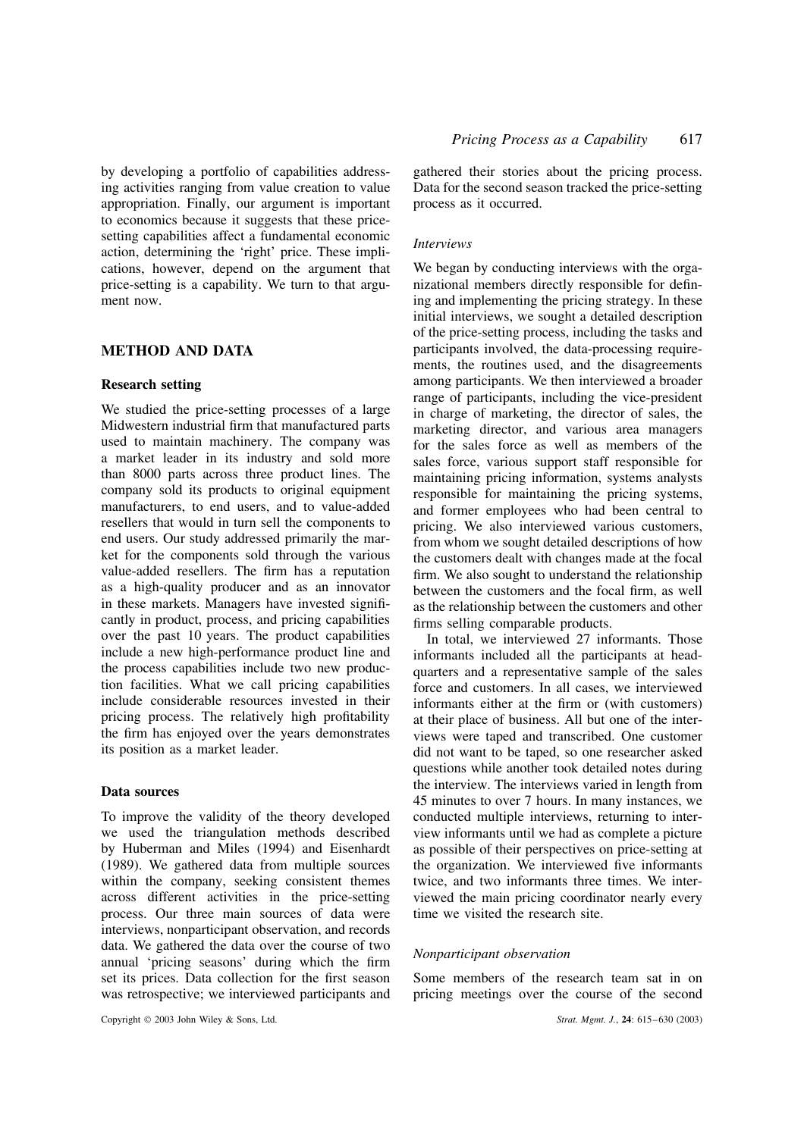by developing a portfolio of capabilities addressing activities ranging from value creation to value appropriation. Finally, our argument is important to economics because it suggests that these pricesetting capabilities affect a fundamental economic action, determining the 'right' price. These implications, however, depend on the argument that price-setting is a capability. We turn to that argument now.

# **METHOD AND DATA**

## **Research setting**

We studied the price-setting processes of a large Midwestern industrial firm that manufactured parts used to maintain machinery. The company was a market leader in its industry and sold more than 8000 parts across three product lines. The company sold its products to original equipment manufacturers, to end users, and to value-added resellers that would in turn sell the components to end users. Our study addressed primarily the market for the components sold through the various value-added resellers. The firm has a reputation as a high-quality producer and as an innovator in these markets. Managers have invested significantly in product, process, and pricing capabilities over the past 10 years. The product capabilities include a new high-performance product line and the process capabilities include two new production facilities. What we call pricing capabilities include considerable resources invested in their pricing process. The relatively high profitability the firm has enjoyed over the years demonstrates its position as a market leader.

#### **Data sources**

To improve the validity of the theory developed we used the triangulation methods described by Huberman and Miles (1994) and Eisenhardt (1989). We gathered data from multiple sources within the company, seeking consistent themes across different activities in the price-setting process. Our three main sources of data were interviews, nonparticipant observation, and records data. We gathered the data over the course of two annual 'pricing seasons' during which the firm set its prices. Data collection for the first season was retrospective; we interviewed participants and gathered their stories about the pricing process. Data for the second season tracked the price-setting process as it occurred.

## *Interviews*

We began by conducting interviews with the organizational members directly responsible for defining and implementing the pricing strategy. In these initial interviews, we sought a detailed description of the price-setting process, including the tasks and participants involved, the data-processing requirements, the routines used, and the disagreements among participants. We then interviewed a broader range of participants, including the vice-president in charge of marketing, the director of sales, the marketing director, and various area managers for the sales force as well as members of the sales force, various support staff responsible for maintaining pricing information, systems analysts responsible for maintaining the pricing systems, and former employees who had been central to pricing. We also interviewed various customers, from whom we sought detailed descriptions of how the customers dealt with changes made at the focal firm. We also sought to understand the relationship between the customers and the focal firm, as well as the relationship between the customers and other firms selling comparable products.

In total, we interviewed 27 informants. Those informants included all the participants at headquarters and a representative sample of the sales force and customers. In all cases, we interviewed informants either at the firm or (with customers) at their place of business. All but one of the interviews were taped and transcribed. One customer did not want to be taped, so one researcher asked questions while another took detailed notes during the interview. The interviews varied in length from 45 minutes to over 7 hours. In many instances, we conducted multiple interviews, returning to interview informants until we had as complete a picture as possible of their perspectives on price-setting at the organization. We interviewed five informants twice, and two informants three times. We interviewed the main pricing coordinator nearly every time we visited the research site.

#### *Nonparticipant observation*

Some members of the research team sat in on pricing meetings over the course of the second

Copyright 2003 John Wiley & Sons, Ltd. *Strat. Mgmt. J.*, **24**: 615–630 (2003)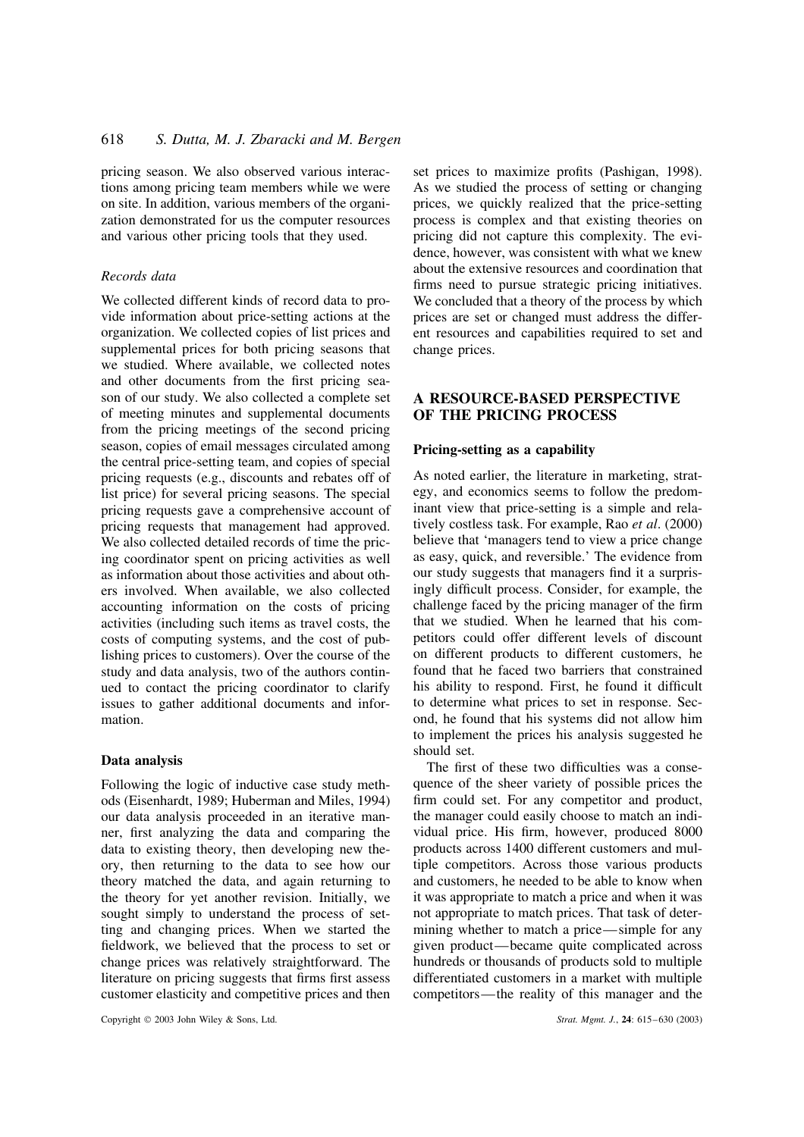pricing season. We also observed various interactions among pricing team members while we were on site. In addition, various members of the organization demonstrated for us the computer resources and various other pricing tools that they used.

#### *Records data*

We collected different kinds of record data to provide information about price-setting actions at the organization. We collected copies of list prices and supplemental prices for both pricing seasons that we studied. Where available, we collected notes and other documents from the first pricing season of our study. We also collected a complete set of meeting minutes and supplemental documents from the pricing meetings of the second pricing season, copies of email messages circulated among the central price-setting team, and copies of special pricing requests (e.g., discounts and rebates off of list price) for several pricing seasons. The special pricing requests gave a comprehensive account of pricing requests that management had approved. We also collected detailed records of time the pricing coordinator spent on pricing activities as well as information about those activities and about others involved. When available, we also collected accounting information on the costs of pricing activities (including such items as travel costs, the costs of computing systems, and the cost of publishing prices to customers). Over the course of the study and data analysis, two of the authors continued to contact the pricing coordinator to clarify issues to gather additional documents and information.

# **Data analysis**

Following the logic of inductive case study methods (Eisenhardt, 1989; Huberman and Miles, 1994) our data analysis proceeded in an iterative manner, first analyzing the data and comparing the data to existing theory, then developing new theory, then returning to the data to see how our theory matched the data, and again returning to the theory for yet another revision. Initially, we sought simply to understand the process of setting and changing prices. When we started the fieldwork, we believed that the process to set or change prices was relatively straightforward. The literature on pricing suggests that firms first assess customer elasticity and competitive prices and then set prices to maximize profits (Pashigan, 1998). As we studied the process of setting or changing prices, we quickly realized that the price-setting process is complex and that existing theories on pricing did not capture this complexity. The evidence, however, was consistent with what we knew about the extensive resources and coordination that firms need to pursue strategic pricing initiatives. We concluded that a theory of the process by which prices are set or changed must address the different resources and capabilities required to set and change prices.

# **A RESOURCE-BASED PERSPECTIVE OF THE PRICING PROCESS**

# **Pricing-setting as a capability**

As noted earlier, the literature in marketing, strategy, and economics seems to follow the predominant view that price-setting is a simple and relatively costless task. For example, Rao *et al*. (2000) believe that 'managers tend to view a price change as easy, quick, and reversible.' The evidence from our study suggests that managers find it a surprisingly difficult process. Consider, for example, the challenge faced by the pricing manager of the firm that we studied. When he learned that his competitors could offer different levels of discount on different products to different customers, he found that he faced two barriers that constrained his ability to respond. First, he found it difficult to determine what prices to set in response. Second, he found that his systems did not allow him to implement the prices his analysis suggested he should set.

The first of these two difficulties was a consequence of the sheer variety of possible prices the firm could set. For any competitor and product, the manager could easily choose to match an individual price. His firm, however, produced 8000 products across 1400 different customers and multiple competitors. Across those various products and customers, he needed to be able to know when it was appropriate to match a price and when it was not appropriate to match prices. That task of determining whether to match a price—simple for any given product—became quite complicated across hundreds or thousands of products sold to multiple differentiated customers in a market with multiple competitors—the reality of this manager and the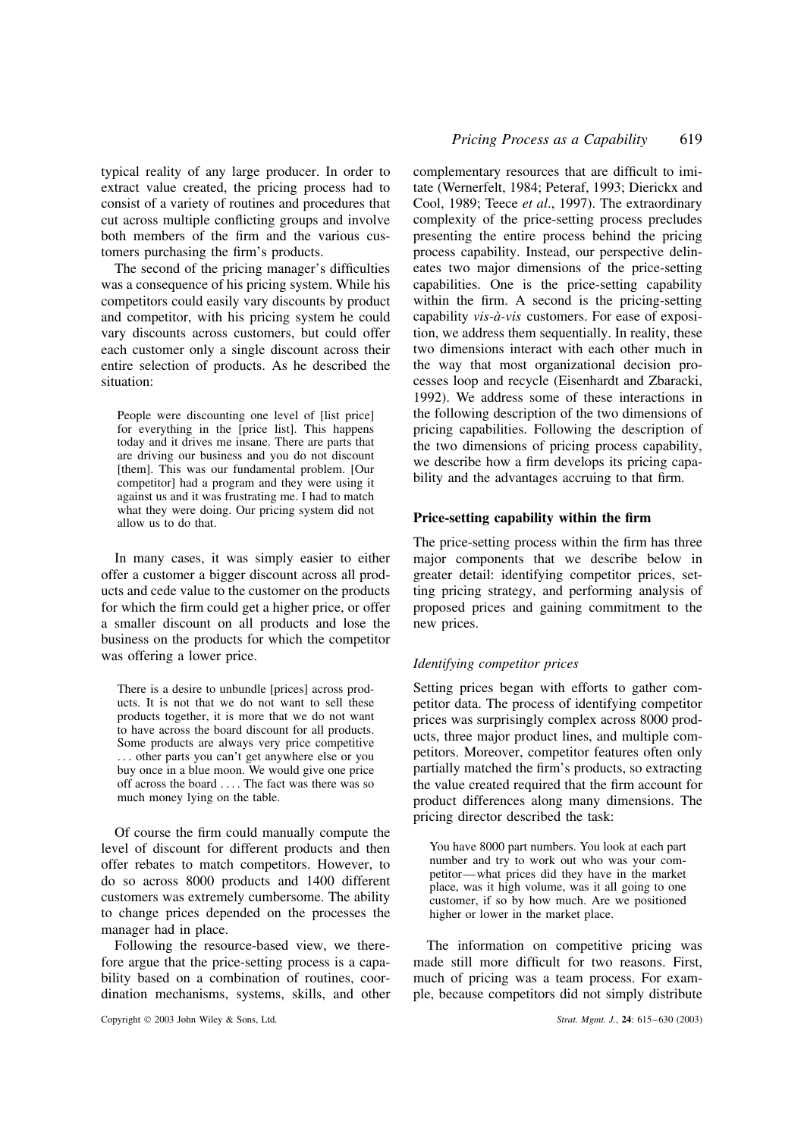typical reality of any large producer. In order to extract value created, the pricing process had to consist of a variety of routines and procedures that cut across multiple conflicting groups and involve both members of the firm and the various customers purchasing the firm's products.

The second of the pricing manager's difficulties was a consequence of his pricing system. While his competitors could easily vary discounts by product and competitor, with his pricing system he could vary discounts across customers, but could offer each customer only a single discount across their entire selection of products. As he described the situation:

People were discounting one level of [list price] for everything in the [price list]. This happens today and it drives me insane. There are parts that are driving our business and you do not discount [them]. This was our fundamental problem. [Our competitor] had a program and they were using it against us and it was frustrating me. I had to match what they were doing. Our pricing system did not allow us to do that.

In many cases, it was simply easier to either offer a customer a bigger discount across all products and cede value to the customer on the products for which the firm could get a higher price, or offer a smaller discount on all products and lose the business on the products for which the competitor was offering a lower price.

There is a desire to unbundle [prices] across products. It is not that we do not want to sell these products together, it is more that we do not want to have across the board discount for all products. Some products are always very price competitive *...* other parts you can't get anywhere else or you buy once in a blue moon. We would give one price off across the board *...* . The fact was there was so much money lying on the table.

Of course the firm could manually compute the level of discount for different products and then offer rebates to match competitors. However, to do so across 8000 products and 1400 different customers was extremely cumbersome. The ability to change prices depended on the processes the manager had in place.

Following the resource-based view, we therefore argue that the price-setting process is a capability based on a combination of routines, coordination mechanisms, systems, skills, and other complementary resources that are difficult to imitate (Wernerfelt, 1984; Peteraf, 1993; Dierickx and Cool, 1989; Teece *et al*., 1997). The extraordinary complexity of the price-setting process precludes presenting the entire process behind the pricing process capability. Instead, our perspective delineates two major dimensions of the price-setting capabilities. One is the price-setting capability within the firm. A second is the pricing-setting capability *vis-à-vis* customers. For ease of exposition, we address them sequentially. In reality, these two dimensions interact with each other much in the way that most organizational decision processes loop and recycle (Eisenhardt and Zbaracki, 1992). We address some of these interactions in the following description of the two dimensions of pricing capabilities. Following the description of the two dimensions of pricing process capability, we describe how a firm develops its pricing capability and the advantages accruing to that firm.

#### **Price-setting capability within the firm**

The price-setting process within the firm has three major components that we describe below in greater detail: identifying competitor prices, setting pricing strategy, and performing analysis of proposed prices and gaining commitment to the new prices.

#### *Identifying competitor prices*

Setting prices began with efforts to gather competitor data. The process of identifying competitor prices was surprisingly complex across 8000 products, three major product lines, and multiple competitors. Moreover, competitor features often only partially matched the firm's products, so extracting the value created required that the firm account for product differences along many dimensions. The pricing director described the task:

You have 8000 part numbers. You look at each part number and try to work out who was your competitor—what prices did they have in the market place, was it high volume, was it all going to one customer, if so by how much. Are we positioned higher or lower in the market place.

The information on competitive pricing was made still more difficult for two reasons. First, much of pricing was a team process. For example, because competitors did not simply distribute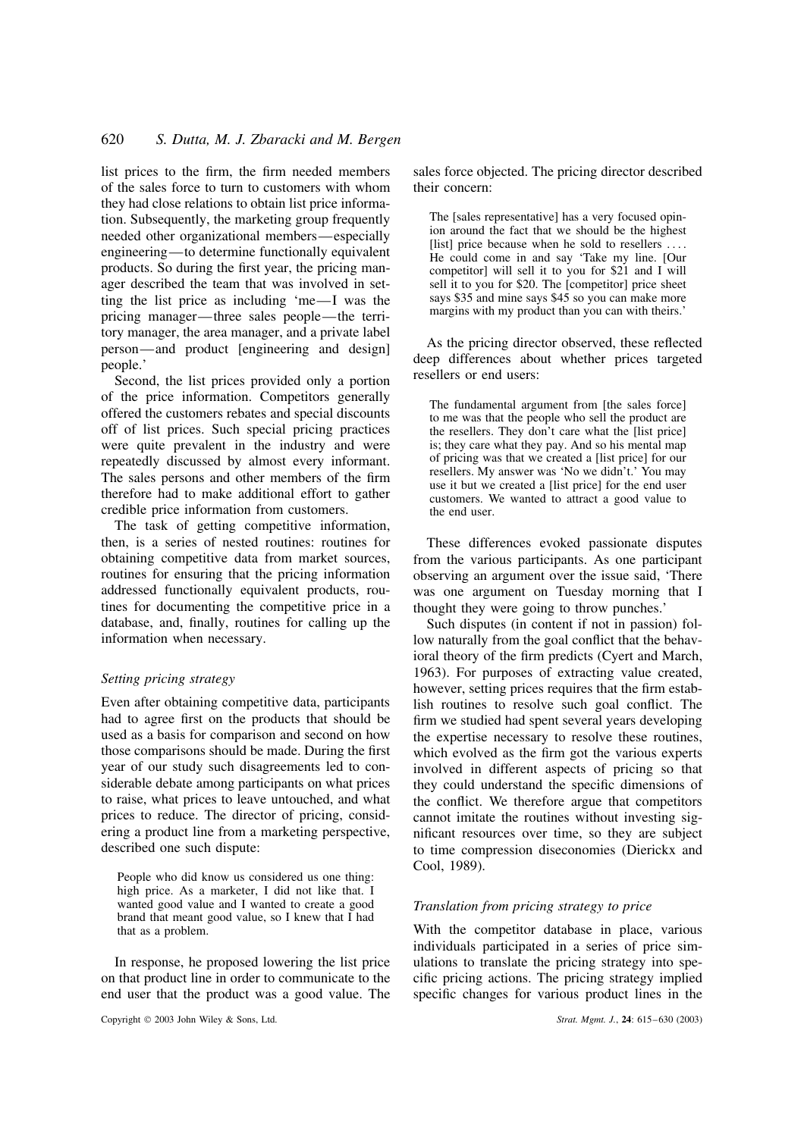# 620 *S. Dutta, M. J. Zbaracki and M. Bergen*

list prices to the firm, the firm needed members of the sales force to turn to customers with whom they had close relations to obtain list price information. Subsequently, the marketing group frequently needed other organizational members—especially engineering—to determine functionally equivalent products. So during the first year, the pricing manager described the team that was involved in setting the list price as including 'me—I was the pricing manager—three sales people—the territory manager, the area manager, and a private label person—and product [engineering and design] people.'

Second, the list prices provided only a portion of the price information. Competitors generally offered the customers rebates and special discounts off of list prices. Such special pricing practices were quite prevalent in the industry and were repeatedly discussed by almost every informant. The sales persons and other members of the firm therefore had to make additional effort to gather credible price information from customers.

The task of getting competitive information, then, is a series of nested routines: routines for obtaining competitive data from market sources, routines for ensuring that the pricing information addressed functionally equivalent products, routines for documenting the competitive price in a database, and, finally, routines for calling up the information when necessary.

#### *Setting pricing strategy*

Even after obtaining competitive data, participants had to agree first on the products that should be used as a basis for comparison and second on how those comparisons should be made. During the first year of our study such disagreements led to considerable debate among participants on what prices to raise, what prices to leave untouched, and what prices to reduce. The director of pricing, considering a product line from a marketing perspective, described one such dispute:

People who did know us considered us one thing: high price. As a marketer, I did not like that. I wanted good value and I wanted to create a good brand that meant good value, so I knew that I had that as a problem.

In response, he proposed lowering the list price on that product line in order to communicate to the end user that the product was a good value. The

Copyright 2003 John Wiley & Sons, Ltd. *Strat. Mgmt. J.*, **24**: 615–630 (2003)

sales force objected. The pricing director described their concern:

The [sales representative] has a very focused opinion around the fact that we should be the highest [list] price because when he sold to resellers *...* . He could come in and say 'Take my line. [Our competitor] will sell it to you for \$21 and I will sell it to you for \$20. The [competitor] price sheet says \$35 and mine says \$45 so you can make more margins with my product than you can with theirs.'

As the pricing director observed, these reflected deep differences about whether prices targeted resellers or end users:

The fundamental argument from [the sales force] to me was that the people who sell the product are the resellers. They don't care what the [list price] is; they care what they pay. And so his mental map of pricing was that we created a [list price] for our resellers. My answer was 'No we didn't.' You may use it but we created a [list price] for the end user customers. We wanted to attract a good value to the end user.

These differences evoked passionate disputes from the various participants. As one participant observing an argument over the issue said, 'There was one argument on Tuesday morning that I thought they were going to throw punches.'

Such disputes (in content if not in passion) follow naturally from the goal conflict that the behavioral theory of the firm predicts (Cyert and March, 1963). For purposes of extracting value created, however, setting prices requires that the firm establish routines to resolve such goal conflict. The firm we studied had spent several years developing the expertise necessary to resolve these routines, which evolved as the firm got the various experts involved in different aspects of pricing so that they could understand the specific dimensions of the conflict. We therefore argue that competitors cannot imitate the routines without investing significant resources over time, so they are subject to time compression diseconomies (Dierickx and Cool, 1989).

#### *Translation from pricing strategy to price*

With the competitor database in place, various individuals participated in a series of price simulations to translate the pricing strategy into specific pricing actions. The pricing strategy implied specific changes for various product lines in the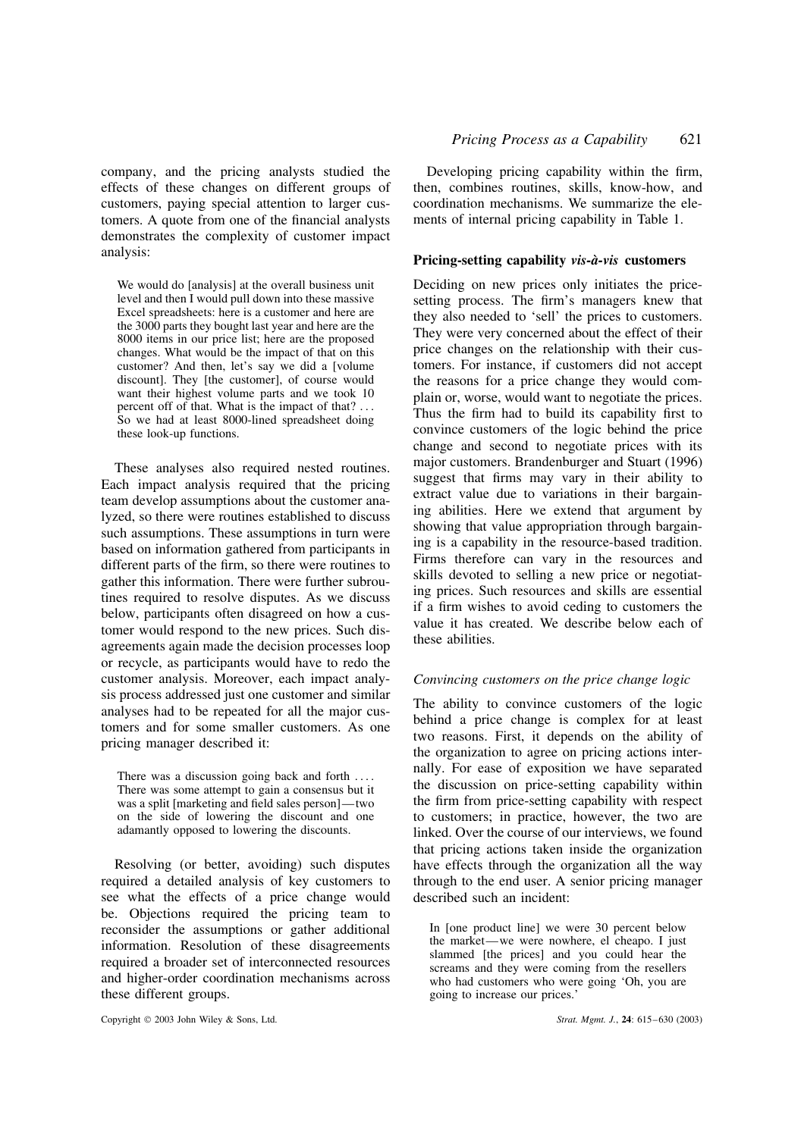company, and the pricing analysts studied the effects of these changes on different groups of customers, paying special attention to larger customers. A quote from one of the financial analysts demonstrates the complexity of customer impact analysis:

We would do [analysis] at the overall business unit level and then I would pull down into these massive Excel spreadsheets: here is a customer and here are the 3000 parts they bought last year and here are the 8000 items in our price list; here are the proposed changes. What would be the impact of that on this customer? And then, let's say we did a [volume discount]. They [the customer], of course would want their highest volume parts and we took 10 percent off of that. What is the impact of that? *...* So we had at least 8000-lined spreadsheet doing these look-up functions.

These analyses also required nested routines. Each impact analysis required that the pricing team develop assumptions about the customer analyzed, so there were routines established to discuss such assumptions. These assumptions in turn were based on information gathered from participants in different parts of the firm, so there were routines to gather this information. There were further subroutines required to resolve disputes. As we discuss below, participants often disagreed on how a customer would respond to the new prices. Such disagreements again made the decision processes loop or recycle, as participants would have to redo the customer analysis. Moreover, each impact analysis process addressed just one customer and similar analyses had to be repeated for all the major customers and for some smaller customers. As one pricing manager described it:

There was a discussion going back and forth *...* . There was some attempt to gain a consensus but it was a split [marketing and field sales person]—two on the side of lowering the discount and one adamantly opposed to lowering the discounts.

Resolving (or better, avoiding) such disputes required a detailed analysis of key customers to see what the effects of a price change would be. Objections required the pricing team to reconsider the assumptions or gather additional information. Resolution of these disagreements required a broader set of interconnected resources and higher-order coordination mechanisms across these different groups.

Developing pricing capability within the firm, then, combines routines, skills, know-how, and coordination mechanisms. We summarize the elements of internal pricing capability in Table 1.

## **Pricing-setting capability** *vis-a-vis `* **customers**

Deciding on new prices only initiates the pricesetting process. The firm's managers knew that they also needed to 'sell' the prices to customers. They were very concerned about the effect of their price changes on the relationship with their customers. For instance, if customers did not accept the reasons for a price change they would complain or, worse, would want to negotiate the prices. Thus the firm had to build its capability first to convince customers of the logic behind the price change and second to negotiate prices with its major customers. Brandenburger and Stuart (1996) suggest that firms may vary in their ability to extract value due to variations in their bargaining abilities. Here we extend that argument by showing that value appropriation through bargaining is a capability in the resource-based tradition. Firms therefore can vary in the resources and skills devoted to selling a new price or negotiating prices. Such resources and skills are essential if a firm wishes to avoid ceding to customers the value it has created. We describe below each of these abilities.

#### *Convincing customers on the price change logic*

The ability to convince customers of the logic behind a price change is complex for at least two reasons. First, it depends on the ability of the organization to agree on pricing actions internally. For ease of exposition we have separated the discussion on price-setting capability within the firm from price-setting capability with respect to customers; in practice, however, the two are linked. Over the course of our interviews, we found that pricing actions taken inside the organization have effects through the organization all the way through to the end user. A senior pricing manager described such an incident:

In [one product line] we were 30 percent below the market—we were nowhere, el cheapo. I just slammed [the prices] and you could hear the screams and they were coming from the resellers who had customers who were going 'Oh, you are going to increase our prices.'

Copyright 2003 John Wiley & Sons, Ltd. *Strat. Mgmt. J.*, **24**: 615–630 (2003)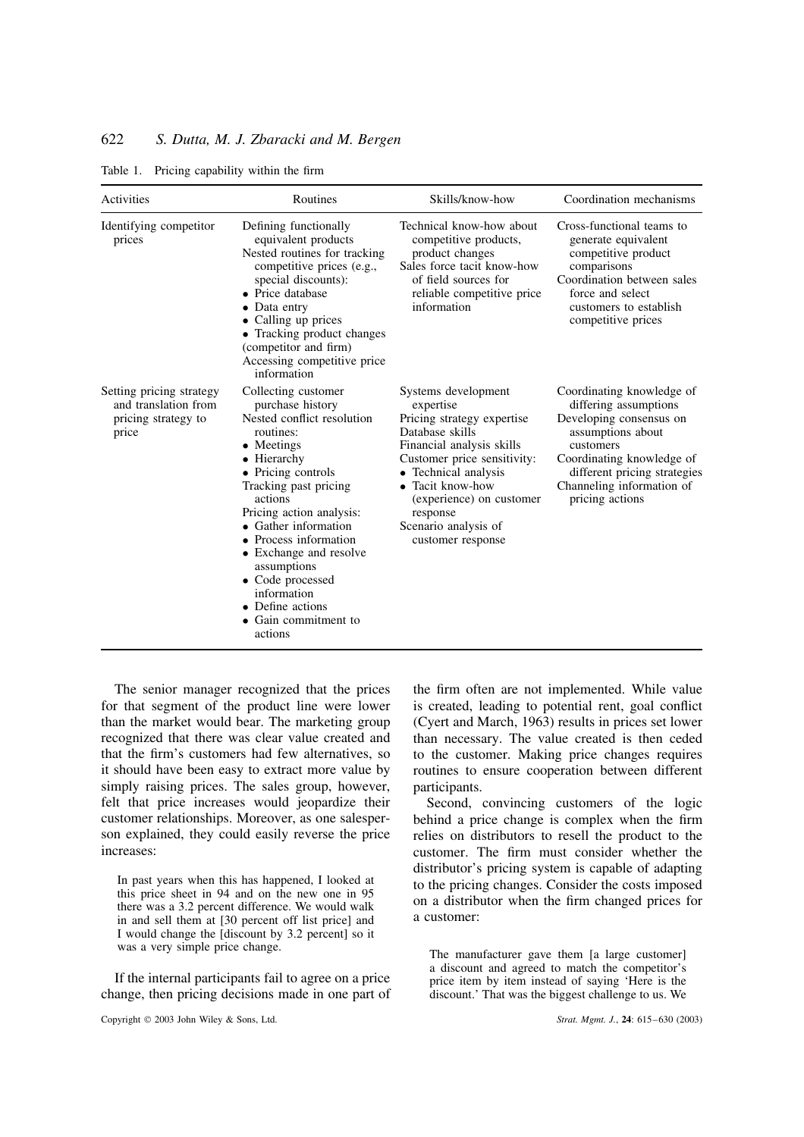# 622 *S. Dutta, M. J. Zbaracki and M. Bergen*

| Activities                                                                       | Routines                                                                                                                                                                                                                                                                                                                                                                                                  | Skills/know-how                                                                                                                                                                                                                                                                | Coordination mechanisms                                                                                                                                                                                                      |
|----------------------------------------------------------------------------------|-----------------------------------------------------------------------------------------------------------------------------------------------------------------------------------------------------------------------------------------------------------------------------------------------------------------------------------------------------------------------------------------------------------|--------------------------------------------------------------------------------------------------------------------------------------------------------------------------------------------------------------------------------------------------------------------------------|------------------------------------------------------------------------------------------------------------------------------------------------------------------------------------------------------------------------------|
| Identifying competitor<br>prices                                                 | Defining functionally<br>equivalent products<br>Nested routines for tracking<br>competitive prices (e.g.,<br>special discounts):<br>• Price database<br>• Data entry<br>• Calling up prices<br>• Tracking product changes<br>(competitor and firm)<br>Accessing competitive price<br>information                                                                                                          | Technical know-how about<br>competitive products,<br>product changes<br>Sales force tacit know-how<br>of field sources for<br>reliable competitive price<br>information                                                                                                        | Cross-functional teams to<br>generate equivalent<br>competitive product<br>comparisons<br>Coordination between sales<br>force and select<br>customers to establish<br>competitive prices                                     |
| Setting pricing strategy<br>and translation from<br>pricing strategy to<br>price | Collecting customer<br>purchase history<br>Nested conflict resolution<br>routines:<br>$\bullet$ Meetings<br>• Hierarchy<br>• Pricing controls<br>Tracking past pricing<br>actions<br>Pricing action analysis:<br>• Gather information<br>• Process information<br>• Exchange and resolve<br>assumptions<br>• Code processed<br>information<br>• Define actions<br>$\bullet$ Gain commitment to<br>actions | Systems development<br>expertise<br>Pricing strategy expertise<br>Database skills<br>Financial analysis skills<br>Customer price sensitivity:<br>• Technical analysis<br>• Tacit know-how<br>(experience) on customer<br>response<br>Scenario analysis of<br>customer response | Coordinating knowledge of<br>differing assumptions<br>Developing consensus on<br>assumptions about<br>customers<br>Coordinating knowledge of<br>different pricing strategies<br>Channeling information of<br>pricing actions |

Table 1. Pricing capability within the firm

The senior manager recognized that the prices for that segment of the product line were lower than the market would bear. The marketing group recognized that there was clear value created and that the firm's customers had few alternatives, so it should have been easy to extract more value by simply raising prices. The sales group, however, felt that price increases would jeopardize their customer relationships. Moreover, as one salesperson explained, they could easily reverse the price increases:

In past years when this has happened, I looked at this price sheet in 94 and on the new one in 95 there was a 3.2 percent difference. We would walk in and sell them at [30 percent off list price] and I would change the [discount by 3.2 percent] so it was a very simple price change.

If the internal participants fail to agree on a price change, then pricing decisions made in one part of the firm often are not implemented. While value is created, leading to potential rent, goal conflict (Cyert and March, 1963) results in prices set lower than necessary. The value created is then ceded to the customer. Making price changes requires routines to ensure cooperation between different participants.

Second, convincing customers of the logic behind a price change is complex when the firm relies on distributors to resell the product to the customer. The firm must consider whether the distributor's pricing system is capable of adapting to the pricing changes. Consider the costs imposed on a distributor when the firm changed prices for a customer:

The manufacturer gave them [a large customer] a discount and agreed to match the competitor's price item by item instead of saying 'Here is the discount.' That was the biggest challenge to us. We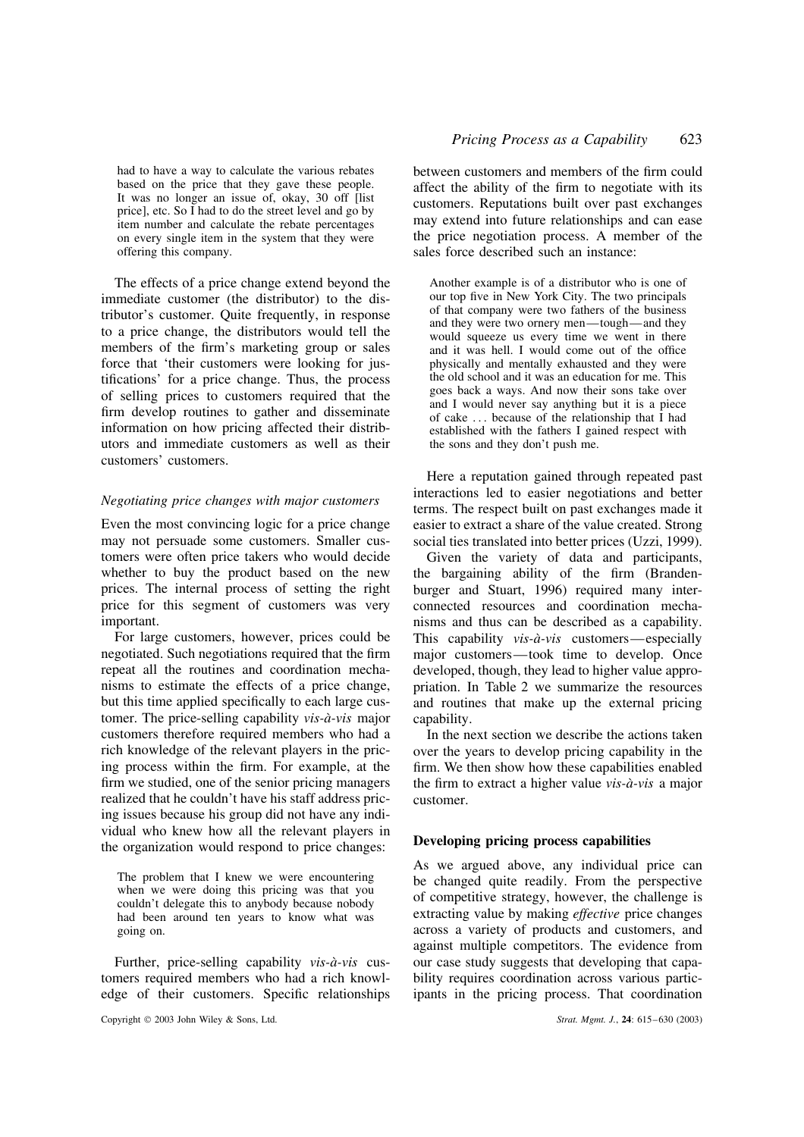had to have a way to calculate the various rebates based on the price that they gave these people. It was no longer an issue of, okay, 30 off [list price], etc. So I had to do the street level and go by item number and calculate the rebate percentages on every single item in the system that they were offering this company.

The effects of a price change extend beyond the immediate customer (the distributor) to the distributor's customer. Quite frequently, in response to a price change, the distributors would tell the members of the firm's marketing group or sales force that 'their customers were looking for justifications' for a price change. Thus, the process of selling prices to customers required that the firm develop routines to gather and disseminate information on how pricing affected their distributors and immediate customers as well as their customers' customers.

# *Negotiating price changes with major customers*

Even the most convincing logic for a price change may not persuade some customers. Smaller customers were often price takers who would decide whether to buy the product based on the new prices. The internal process of setting the right price for this segment of customers was very important.

For large customers, however, prices could be negotiated. Such negotiations required that the firm repeat all the routines and coordination mechanisms to estimate the effects of a price change, but this time applied specifically to each large customer. The price-selling capability *vis-à-vis* major customers therefore required members who had a rich knowledge of the relevant players in the pricing process within the firm. For example, at the firm we studied, one of the senior pricing managers realized that he couldn't have his staff address pricing issues because his group did not have any individual who knew how all the relevant players in the organization would respond to price changes:

The problem that I knew we were encountering when we were doing this pricing was that you couldn't delegate this to anybody because nobody had been around ten years to know what was going on.

Further, price-selling capability *vis-à-vis* customers required members who had a rich knowledge of their customers. Specific relationships between customers and members of the firm could affect the ability of the firm to negotiate with its customers. Reputations built over past exchanges may extend into future relationships and can ease the price negotiation process. A member of the sales force described such an instance:

Another example is of a distributor who is one of our top five in New York City. The two principals of that company were two fathers of the business and they were two ornery men—tough—and they would squeeze us every time we went in there and it was hell. I would come out of the office physically and mentally exhausted and they were the old school and it was an education for me. This goes back a ways. And now their sons take over and I would never say anything but it is a piece of cake *...* because of the relationship that I had established with the fathers I gained respect with the sons and they don't push me.

Here a reputation gained through repeated past interactions led to easier negotiations and better terms. The respect built on past exchanges made it easier to extract a share of the value created. Strong social ties translated into better prices (Uzzi, 1999).

Given the variety of data and participants, the bargaining ability of the firm (Brandenburger and Stuart, 1996) required many interconnected resources and coordination mechanisms and thus can be described as a capability. This capability *vis-à-vis* customers—especially major customers—took time to develop. Once developed, though, they lead to higher value appropriation. In Table 2 we summarize the resources and routines that make up the external pricing capability.

In the next section we describe the actions taken over the years to develop pricing capability in the firm. We then show how these capabilities enabled the firm to extract a higher value *vis-à-vis* a major customer.

#### **Developing pricing process capabilities**

As we argued above, any individual price can be changed quite readily. From the perspective of competitive strategy, however, the challenge is extracting value by making *effective* price changes across a variety of products and customers, and against multiple competitors. The evidence from our case study suggests that developing that capability requires coordination across various participants in the pricing process. That coordination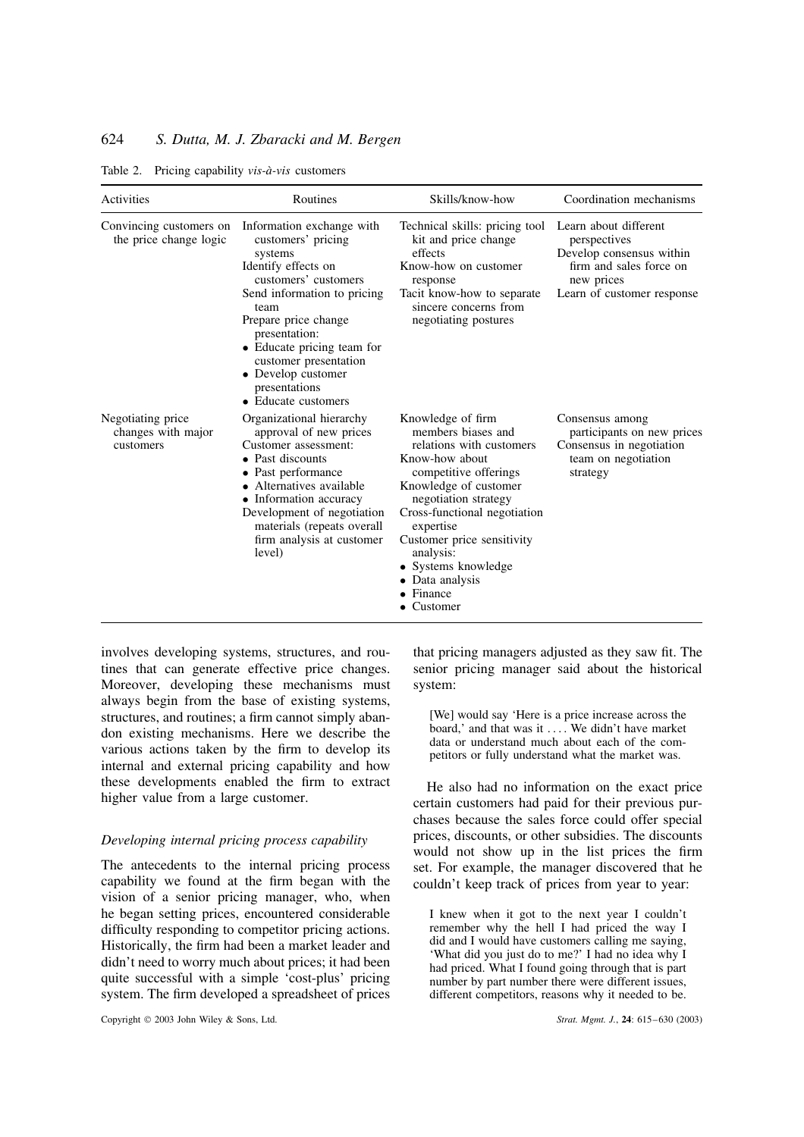# 624 *S. Dutta, M. J. Zbaracki and M. Bergen*

|  | Table 2. Pricing capability vis-à-vis customers |  |  |
|--|-------------------------------------------------|--|--|
|--|-------------------------------------------------|--|--|

| Activities                                            | Routines                                                                                                                                                                                                                                                                                                       | Skills/know-how                                                                                                                                                                                                                                                                                                                    | Coordination mechanisms                                                                                                                  |
|-------------------------------------------------------|----------------------------------------------------------------------------------------------------------------------------------------------------------------------------------------------------------------------------------------------------------------------------------------------------------------|------------------------------------------------------------------------------------------------------------------------------------------------------------------------------------------------------------------------------------------------------------------------------------------------------------------------------------|------------------------------------------------------------------------------------------------------------------------------------------|
| Convincing customers on<br>the price change logic     | Information exchange with<br>customers' pricing<br>systems<br>Identify effects on<br>customers' customers<br>Send information to pricing<br>team<br>Prepare price change<br>presentation:<br>• Educate pricing team for<br>customer presentation<br>• Develop customer<br>presentations<br>• Educate customers | Technical skills: pricing tool<br>kit and price change<br>effects<br>Know-how on customer<br>response<br>Tacit know-how to separate<br>sincere concerns from<br>negotiating postures                                                                                                                                               | Learn about different<br>perspectives<br>Develop consensus within<br>firm and sales force on<br>new prices<br>Learn of customer response |
| Negotiating price.<br>changes with major<br>customers | Organizational hierarchy<br>approval of new prices<br>Customer assessment:<br>• Past discounts<br>• Past performance<br>• Alternatives available<br>• Information accuracy<br>Development of negotiation<br>materials (repeats overall<br>firm analysis at customer<br>level)                                  | Knowledge of firm<br>members biases and<br>relations with customers<br>Know-how about<br>competitive offerings<br>Knowledge of customer<br>negotiation strategy<br>Cross-functional negotiation<br>expertise<br>Customer price sensitivity<br>analysis:<br>• Systems knowledge<br>• Data analysis<br>Finance<br>$\bullet$ Customer | Consensus among<br>participants on new prices<br>Consensus in negotiation<br>team on negotiation<br>strategy                             |

involves developing systems, structures, and routines that can generate effective price changes. Moreover, developing these mechanisms must always begin from the base of existing systems, structures, and routines; a firm cannot simply abandon existing mechanisms. Here we describe the various actions taken by the firm to develop its internal and external pricing capability and how these developments enabled the firm to extract higher value from a large customer.

#### *Developing internal pricing process capability*

The antecedents to the internal pricing process capability we found at the firm began with the vision of a senior pricing manager, who, when he began setting prices, encountered considerable difficulty responding to competitor pricing actions. Historically, the firm had been a market leader and didn't need to worry much about prices; it had been quite successful with a simple 'cost-plus' pricing system. The firm developed a spreadsheet of prices that pricing managers adjusted as they saw fit. The senior pricing manager said about the historical system:

[We] would say 'Here is a price increase across the board,' and that was it *...* . We didn't have market data or understand much about each of the competitors or fully understand what the market was.

He also had no information on the exact price certain customers had paid for their previous purchases because the sales force could offer special prices, discounts, or other subsidies. The discounts would not show up in the list prices the firm set. For example, the manager discovered that he couldn't keep track of prices from year to year:

I knew when it got to the next year I couldn't remember why the hell I had priced the way I did and I would have customers calling me saying, 'What did you just do to me?' I had no idea why I had priced. What I found going through that is part number by part number there were different issues, different competitors, reasons why it needed to be.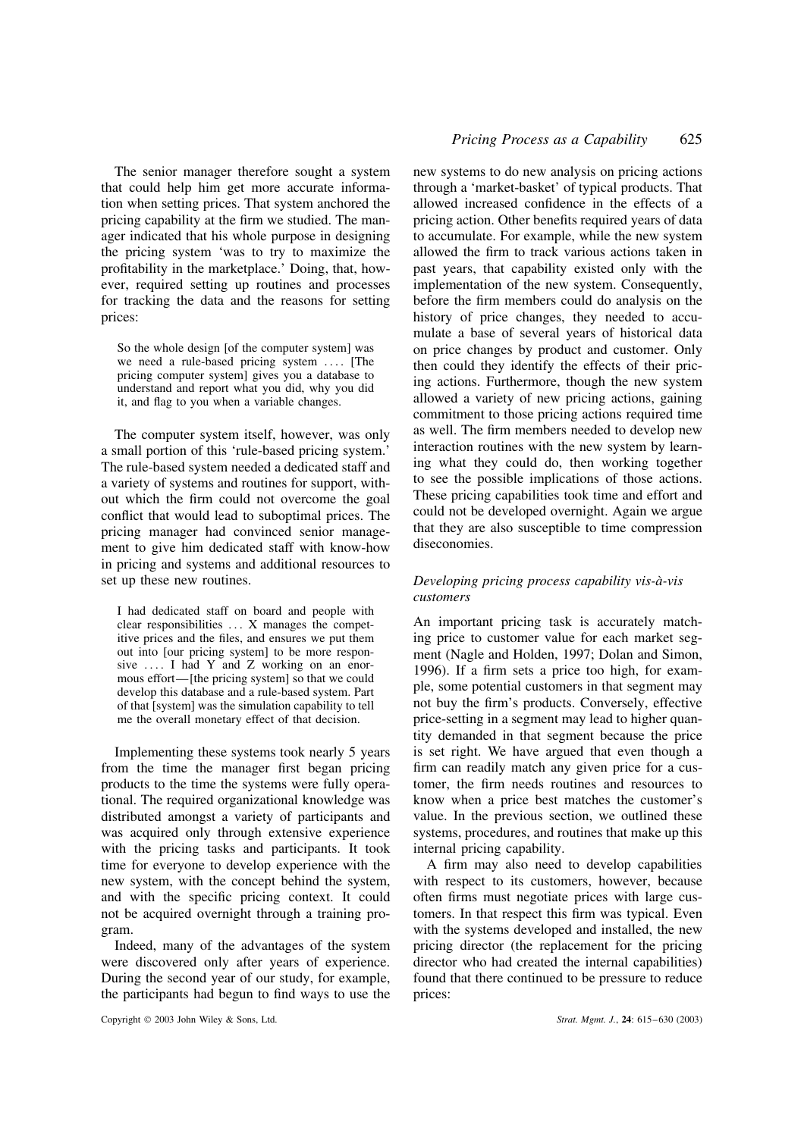The senior manager therefore sought a system that could help him get more accurate information when setting prices. That system anchored the pricing capability at the firm we studied. The manager indicated that his whole purpose in designing the pricing system 'was to try to maximize the profitability in the marketplace.' Doing, that, however, required setting up routines and processes for tracking the data and the reasons for setting prices:

So the whole design [of the computer system] was we need a rule-based pricing system .... [The pricing computer system] gives you a database to understand and report what you did, why you did it, and flag to you when a variable changes.

The computer system itself, however, was only a small portion of this 'rule-based pricing system.' The rule-based system needed a dedicated staff and a variety of systems and routines for support, without which the firm could not overcome the goal conflict that would lead to suboptimal prices. The pricing manager had convinced senior management to give him dedicated staff with know-how in pricing and systems and additional resources to set up these new routines.

I had dedicated staff on board and people with clear responsibilities *...* X manages the competitive prices and the files, and ensures we put them out into [our pricing system] to be more responsive  $\dots$  I had Y and Z working on an enormous effort—[the pricing system] so that we could develop this database and a rule-based system. Part of that [system] was the simulation capability to tell me the overall monetary effect of that decision.

Implementing these systems took nearly 5 years from the time the manager first began pricing products to the time the systems were fully operational. The required organizational knowledge was distributed amongst a variety of participants and was acquired only through extensive experience with the pricing tasks and participants. It took time for everyone to develop experience with the new system, with the concept behind the system, and with the specific pricing context. It could not be acquired overnight through a training program.

Indeed, many of the advantages of the system were discovered only after years of experience. During the second year of our study, for example, the participants had begun to find ways to use the

## *Pricing Process as a Capability* 625

new systems to do new analysis on pricing actions through a 'market-basket' of typical products. That allowed increased confidence in the effects of a pricing action. Other benefits required years of data to accumulate. For example, while the new system allowed the firm to track various actions taken in past years, that capability existed only with the implementation of the new system. Consequently, before the firm members could do analysis on the history of price changes, they needed to accumulate a base of several years of historical data on price changes by product and customer. Only then could they identify the effects of their pricing actions. Furthermore, though the new system allowed a variety of new pricing actions, gaining commitment to those pricing actions required time as well. The firm members needed to develop new interaction routines with the new system by learning what they could do, then working together to see the possible implications of those actions. These pricing capabilities took time and effort and could not be developed overnight. Again we argue that they are also susceptible to time compression diseconomies.

# *Developing pricing process capability vis- `a-vis customers*

An important pricing task is accurately matching price to customer value for each market segment (Nagle and Holden, 1997; Dolan and Simon, 1996). If a firm sets a price too high, for example, some potential customers in that segment may not buy the firm's products. Conversely, effective price-setting in a segment may lead to higher quantity demanded in that segment because the price is set right. We have argued that even though a firm can readily match any given price for a customer, the firm needs routines and resources to know when a price best matches the customer's value. In the previous section, we outlined these systems, procedures, and routines that make up this internal pricing capability.

A firm may also need to develop capabilities with respect to its customers, however, because often firms must negotiate prices with large customers. In that respect this firm was typical. Even with the systems developed and installed, the new pricing director (the replacement for the pricing director who had created the internal capabilities) found that there continued to be pressure to reduce prices: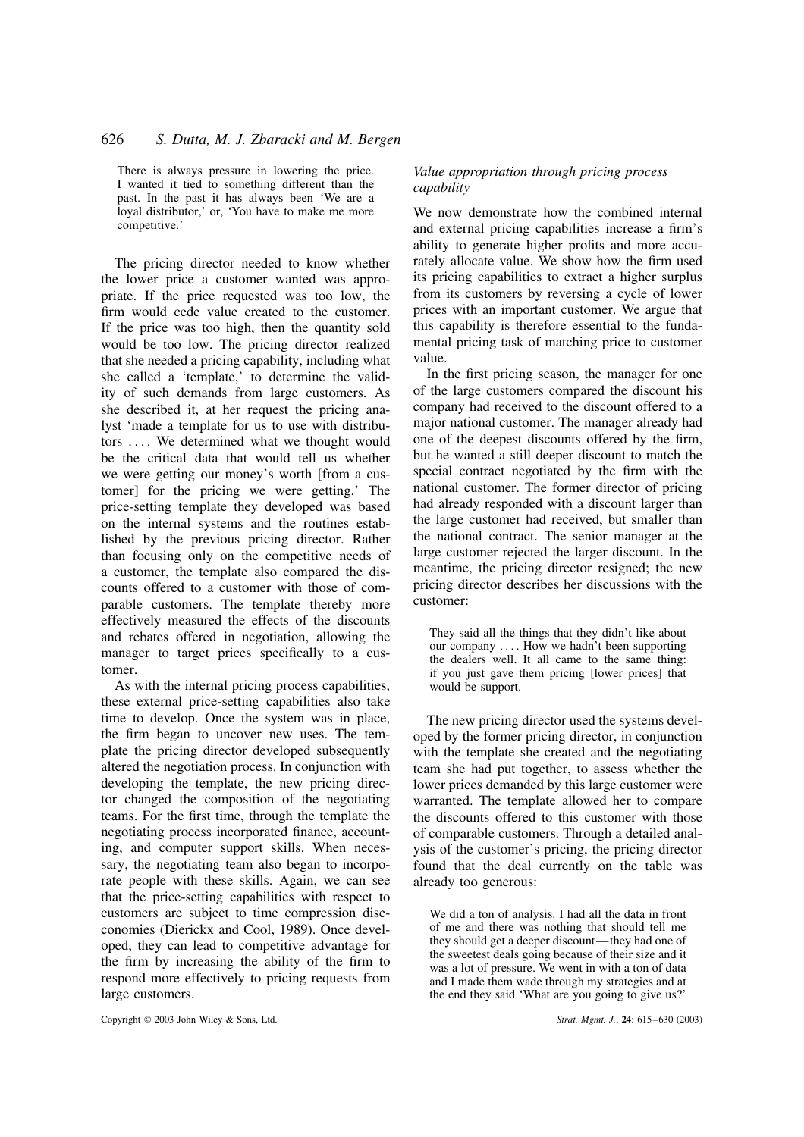There is always pressure in lowering the price. I wanted it tied to something different than the past. In the past it has always been 'We are a loyal distributor,' or, 'You have to make me more competitive.'

The pricing director needed to know whether the lower price a customer wanted was appropriate. If the price requested was too low, the firm would cede value created to the customer. If the price was too high, then the quantity sold would be too low. The pricing director realized that she needed a pricing capability, including what she called a 'template,' to determine the validity of such demands from large customers. As she described it, at her request the pricing analyst 'made a template for us to use with distributors .... We determined what we thought would be the critical data that would tell us whether we were getting our money's worth [from a customer] for the pricing we were getting.' The price-setting template they developed was based on the internal systems and the routines established by the previous pricing director. Rather than focusing only on the competitive needs of a customer, the template also compared the discounts offered to a customer with those of comparable customers. The template thereby more effectively measured the effects of the discounts and rebates offered in negotiation, allowing the manager to target prices specifically to a customer.

As with the internal pricing process capabilities, these external price-setting capabilities also take time to develop. Once the system was in place, the firm began to uncover new uses. The template the pricing director developed subsequently altered the negotiation process. In conjunction with developing the template, the new pricing director changed the composition of the negotiating teams. For the first time, through the template the negotiating process incorporated finance, accounting, and computer support skills. When necessary, the negotiating team also began to incorporate people with these skills. Again, we can see that the price-setting capabilities with respect to customers are subject to time compression diseconomies (Dierickx and Cool, 1989). Once developed, they can lead to competitive advantage for the firm by increasing the ability of the firm to respond more effectively to pricing requests from large customers.

# *Value appropriation through pricing process capability*

We now demonstrate how the combined internal and external pricing capabilities increase a firm's ability to generate higher profits and more accurately allocate value. We show how the firm used its pricing capabilities to extract a higher surplus from its customers by reversing a cycle of lower prices with an important customer. We argue that this capability is therefore essential to the fundamental pricing task of matching price to customer value.

In the first pricing season, the manager for one of the large customers compared the discount his company had received to the discount offered to a major national customer. The manager already had one of the deepest discounts offered by the firm, but he wanted a still deeper discount to match the special contract negotiated by the firm with the national customer. The former director of pricing had already responded with a discount larger than the large customer had received, but smaller than the national contract. The senior manager at the large customer rejected the larger discount. In the meantime, the pricing director resigned; the new pricing director describes her discussions with the customer:

They said all the things that they didn't like about our company .... How we hadn't been supporting the dealers well. It all came to the same thing: if you just gave them pricing [lower prices] that would be support.

The new pricing director used the systems developed by the former pricing director, in conjunction with the template she created and the negotiating team she had put together, to assess whether the lower prices demanded by this large customer were warranted. The template allowed her to compare the discounts offered to this customer with those of comparable customers. Through a detailed analysis of the customer's pricing, the pricing director found that the deal currently on the table was already too generous:

We did a ton of analysis. I had all the data in front of me and there was nothing that should tell me they should get a deeper discount—they had one of the sweetest deals going because of their size and it was a lot of pressure. We went in with a ton of data and I made them wade through my strategies and at the end they said 'What are you going to give us?'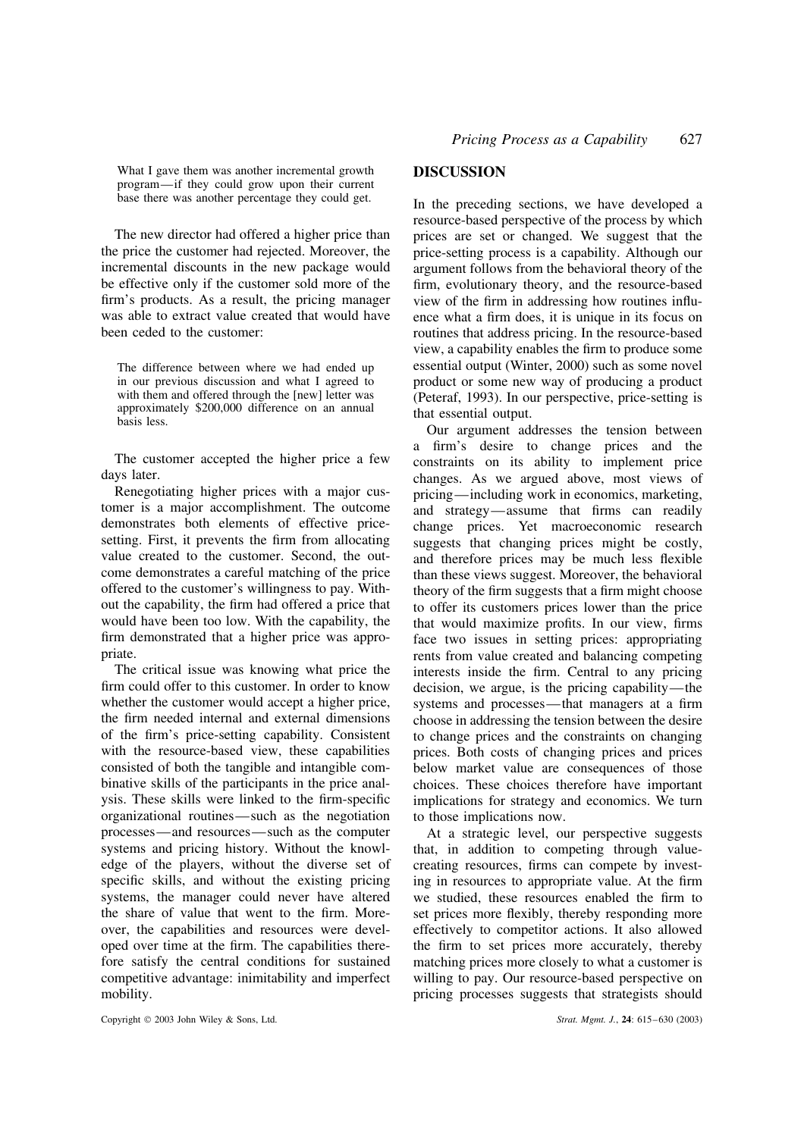What I gave them was another incremental growth program—if they could grow upon their current base there was another percentage they could get.

The new director had offered a higher price than the price the customer had rejected. Moreover, the incremental discounts in the new package would be effective only if the customer sold more of the firm's products. As a result, the pricing manager was able to extract value created that would have been ceded to the customer:

The difference between where we had ended up in our previous discussion and what I agreed to with them and offered through the [new] letter was approximately \$200,000 difference on an annual basis less.

The customer accepted the higher price a few days later.

Renegotiating higher prices with a major customer is a major accomplishment. The outcome demonstrates both elements of effective pricesetting. First, it prevents the firm from allocating value created to the customer. Second, the outcome demonstrates a careful matching of the price offered to the customer's willingness to pay. Without the capability, the firm had offered a price that would have been too low. With the capability, the firm demonstrated that a higher price was appropriate.

The critical issue was knowing what price the firm could offer to this customer. In order to know whether the customer would accept a higher price, the firm needed internal and external dimensions of the firm's price-setting capability. Consistent with the resource-based view, these capabilities consisted of both the tangible and intangible combinative skills of the participants in the price analysis. These skills were linked to the firm-specific organizational routines—such as the negotiation processes—and resources—such as the computer systems and pricing history. Without the knowledge of the players, without the diverse set of specific skills, and without the existing pricing systems, the manager could never have altered the share of value that went to the firm. Moreover, the capabilities and resources were developed over time at the firm. The capabilities therefore satisfy the central conditions for sustained competitive advantage: inimitability and imperfect mobility.

# **DISCUSSION**

In the preceding sections, we have developed a resource-based perspective of the process by which prices are set or changed. We suggest that the price-setting process is a capability. Although our argument follows from the behavioral theory of the firm, evolutionary theory, and the resource-based view of the firm in addressing how routines influence what a firm does, it is unique in its focus on routines that address pricing. In the resource-based view, a capability enables the firm to produce some essential output (Winter, 2000) such as some novel product or some new way of producing a product (Peteraf, 1993). In our perspective, price-setting is that essential output.

Our argument addresses the tension between a firm's desire to change prices and the constraints on its ability to implement price changes. As we argued above, most views of pricing—including work in economics, marketing, and strategy—assume that firms can readily change prices. Yet macroeconomic research suggests that changing prices might be costly, and therefore prices may be much less flexible than these views suggest. Moreover, the behavioral theory of the firm suggests that a firm might choose to offer its customers prices lower than the price that would maximize profits. In our view, firms face two issues in setting prices: appropriating rents from value created and balancing competing interests inside the firm. Central to any pricing decision, we argue, is the pricing capability—the systems and processes—that managers at a firm choose in addressing the tension between the desire to change prices and the constraints on changing prices. Both costs of changing prices and prices below market value are consequences of those choices. These choices therefore have important implications for strategy and economics. We turn to those implications now.

At a strategic level, our perspective suggests that, in addition to competing through valuecreating resources, firms can compete by investing in resources to appropriate value. At the firm we studied, these resources enabled the firm to set prices more flexibly, thereby responding more effectively to competitor actions. It also allowed the firm to set prices more accurately, thereby matching prices more closely to what a customer is willing to pay. Our resource-based perspective on pricing processes suggests that strategists should

Copyright 2003 John Wiley & Sons, Ltd. *Strat. Mgmt. J.*, **24**: 615–630 (2003)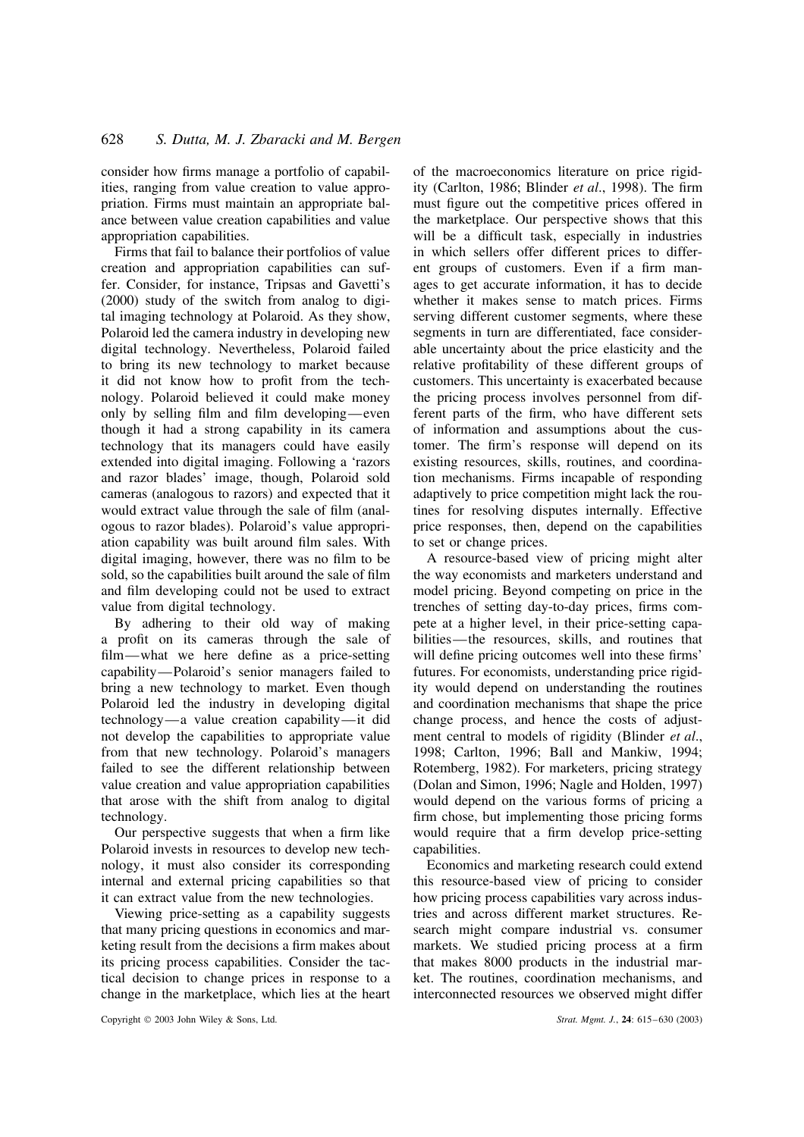consider how firms manage a portfolio of capabilities, ranging from value creation to value appropriation. Firms must maintain an appropriate balance between value creation capabilities and value appropriation capabilities.

Firms that fail to balance their portfolios of value creation and appropriation capabilities can suffer. Consider, for instance, Tripsas and Gavetti's (2000) study of the switch from analog to digital imaging technology at Polaroid. As they show, Polaroid led the camera industry in developing new digital technology. Nevertheless, Polaroid failed to bring its new technology to market because it did not know how to profit from the technology. Polaroid believed it could make money only by selling film and film developing—even though it had a strong capability in its camera technology that its managers could have easily extended into digital imaging. Following a 'razors and razor blades' image, though, Polaroid sold cameras (analogous to razors) and expected that it would extract value through the sale of film (analogous to razor blades). Polaroid's value appropriation capability was built around film sales. With digital imaging, however, there was no film to be sold, so the capabilities built around the sale of film and film developing could not be used to extract value from digital technology.

By adhering to their old way of making a profit on its cameras through the sale of film—what we here define as a price-setting capability—Polaroid's senior managers failed to bring a new technology to market. Even though Polaroid led the industry in developing digital technology—a value creation capability—it did not develop the capabilities to appropriate value from that new technology. Polaroid's managers failed to see the different relationship between value creation and value appropriation capabilities that arose with the shift from analog to digital technology.

Our perspective suggests that when a firm like Polaroid invests in resources to develop new technology, it must also consider its corresponding internal and external pricing capabilities so that it can extract value from the new technologies.

Viewing price-setting as a capability suggests that many pricing questions in economics and marketing result from the decisions a firm makes about its pricing process capabilities. Consider the tactical decision to change prices in response to a change in the marketplace, which lies at the heart of the macroeconomics literature on price rigidity (Carlton, 1986; Blinder *et al*., 1998). The firm must figure out the competitive prices offered in the marketplace. Our perspective shows that this will be a difficult task, especially in industries in which sellers offer different prices to different groups of customers. Even if a firm manages to get accurate information, it has to decide whether it makes sense to match prices. Firms serving different customer segments, where these segments in turn are differentiated, face considerable uncertainty about the price elasticity and the relative profitability of these different groups of customers. This uncertainty is exacerbated because the pricing process involves personnel from different parts of the firm, who have different sets of information and assumptions about the customer. The firm's response will depend on its existing resources, skills, routines, and coordination mechanisms. Firms incapable of responding adaptively to price competition might lack the routines for resolving disputes internally. Effective price responses, then, depend on the capabilities to set or change prices.

A resource-based view of pricing might alter the way economists and marketers understand and model pricing. Beyond competing on price in the trenches of setting day-to-day prices, firms compete at a higher level, in their price-setting capabilities—the resources, skills, and routines that will define pricing outcomes well into these firms' futures. For economists, understanding price rigidity would depend on understanding the routines and coordination mechanisms that shape the price change process, and hence the costs of adjustment central to models of rigidity (Blinder *et al*., 1998; Carlton, 1996; Ball and Mankiw, 1994; Rotemberg, 1982). For marketers, pricing strategy (Dolan and Simon, 1996; Nagle and Holden, 1997) would depend on the various forms of pricing a firm chose, but implementing those pricing forms would require that a firm develop price-setting capabilities.

Economics and marketing research could extend this resource-based view of pricing to consider how pricing process capabilities vary across industries and across different market structures. Research might compare industrial vs. consumer markets. We studied pricing process at a firm that makes 8000 products in the industrial market. The routines, coordination mechanisms, and interconnected resources we observed might differ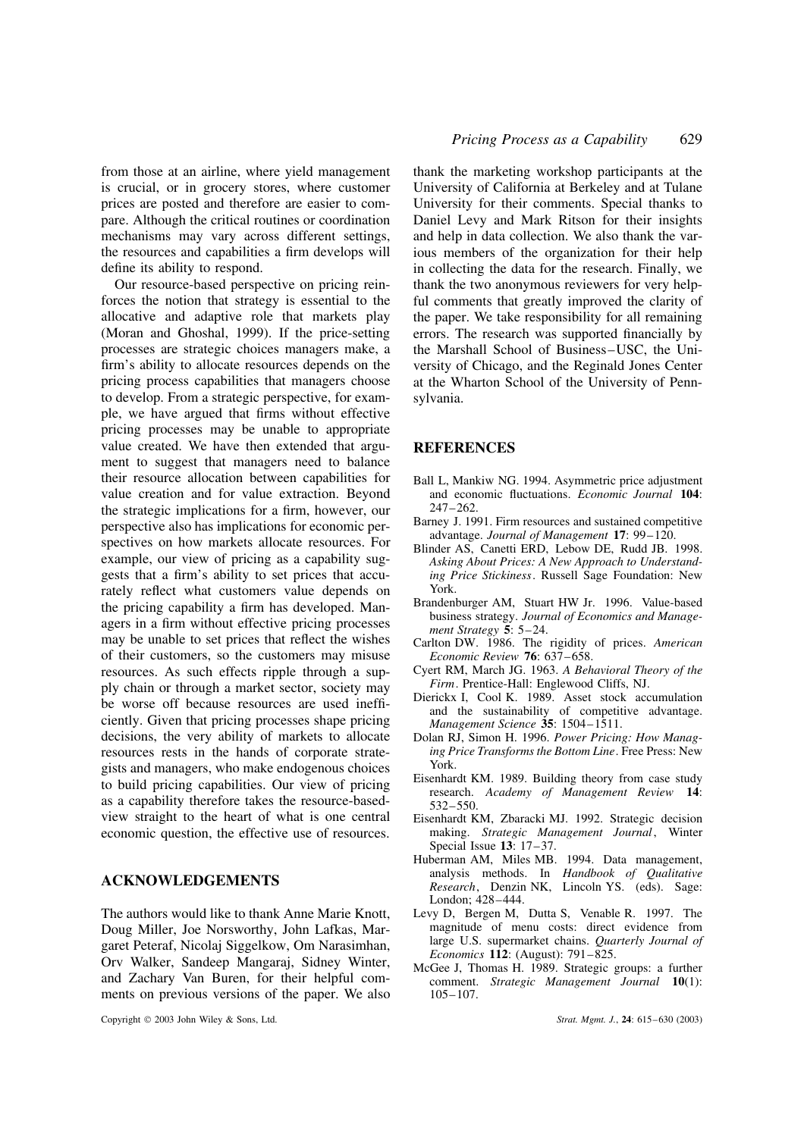from those at an airline, where yield management is crucial, or in grocery stores, where customer prices are posted and therefore are easier to compare. Although the critical routines or coordination mechanisms may vary across different settings, the resources and capabilities a firm develops will define its ability to respond.

Our resource-based perspective on pricing reinforces the notion that strategy is essential to the allocative and adaptive role that markets play (Moran and Ghoshal, 1999). If the price-setting processes are strategic choices managers make, a firm's ability to allocate resources depends on the pricing process capabilities that managers choose to develop. From a strategic perspective, for example, we have argued that firms without effective pricing processes may be unable to appropriate value created. We have then extended that argument to suggest that managers need to balance their resource allocation between capabilities for value creation and for value extraction. Beyond the strategic implications for a firm, however, our perspective also has implications for economic perspectives on how markets allocate resources. For example, our view of pricing as a capability suggests that a firm's ability to set prices that accurately reflect what customers value depends on the pricing capability a firm has developed. Managers in a firm without effective pricing processes may be unable to set prices that reflect the wishes of their customers, so the customers may misuse resources. As such effects ripple through a supply chain or through a market sector, society may be worse off because resources are used inefficiently. Given that pricing processes shape pricing decisions, the very ability of markets to allocate resources rests in the hands of corporate strategists and managers, who make endogenous choices to build pricing capabilities. Our view of pricing as a capability therefore takes the resource-basedview straight to the heart of what is one central economic question, the effective use of resources.

#### **ACKNOWLEDGEMENTS**

The authors would like to thank Anne Marie Knott, Doug Miller, Joe Norsworthy, John Lafkas, Margaret Peteraf, Nicolaj Siggelkow, Om Narasimhan, Orv Walker, Sandeep Mangaraj, Sidney Winter, and Zachary Van Buren, for their helpful comments on previous versions of the paper. We also thank the marketing workshop participants at the University of California at Berkeley and at Tulane University for their comments. Special thanks to Daniel Levy and Mark Ritson for their insights and help in data collection. We also thank the various members of the organization for their help in collecting the data for the research. Finally, we thank the two anonymous reviewers for very helpful comments that greatly improved the clarity of the paper. We take responsibility for all remaining errors. The research was supported financially by the Marshall School of Business–USC, the University of Chicago, and the Reginald Jones Center at the Wharton School of the University of Pennsylvania.

#### **REFERENCES**

- Ball L, Mankiw NG. 1994. Asymmetric price adjustment and economic fluctuations. *Economic Journal* **104**: 247–262.
- Barney J. 1991. Firm resources and sustained competitive advantage. *Journal of Management* **17**: 99–120.
- Blinder AS, Canetti ERD, Lebow DE, Rudd JB. 1998. *Asking About Prices: A New Approach to Understanding Price Stickiness*. Russell Sage Foundation: New York.
- Brandenburger AM, Stuart HW Jr. 1996. Value-based business strategy. *Journal of Economics and Management Strategy* **5**: 5–24.
- Carlton DW. 1986. The rigidity of prices. *American Economic Review* **76**: 637–658.
- Cyert RM, March JG. 1963. *A Behavioral Theory of the Firm*. Prentice-Hall: Englewood Cliffs, NJ.
- Dierickx I, Cool K. 1989. Asset stock accumulation and the sustainability of competitive advantage. *Management Science* **35**: 1504–1511.
- Dolan RJ, Simon H. 1996. *Power Pricing: How Managing Price Transforms the Bottom Line*. Free Press: New York.
- Eisenhardt KM. 1989. Building theory from case study research. *Academy of Management Review* **14**: 532–550.
- Eisenhardt KM, Zbaracki MJ. 1992. Strategic decision making. *Strategic Management Journal*, Winter Special Issue **13**: 17–37.
- Huberman AM, Miles MB. 1994. Data management, analysis methods. In *Handbook of Qualitative Research*, Denzin NK, Lincoln YS. (eds). Sage: London; 428–444.
- Levy D, Bergen M, Dutta S, Venable R. 1997. The magnitude of menu costs: direct evidence from large U.S. supermarket chains. *Quarterly Journal of Economics* **112**: (August): 791–825.
- McGee J, Thomas H. 1989. Strategic groups: a further comment. *Strategic Management Journal* **10**(1):  $105 - 107$ .